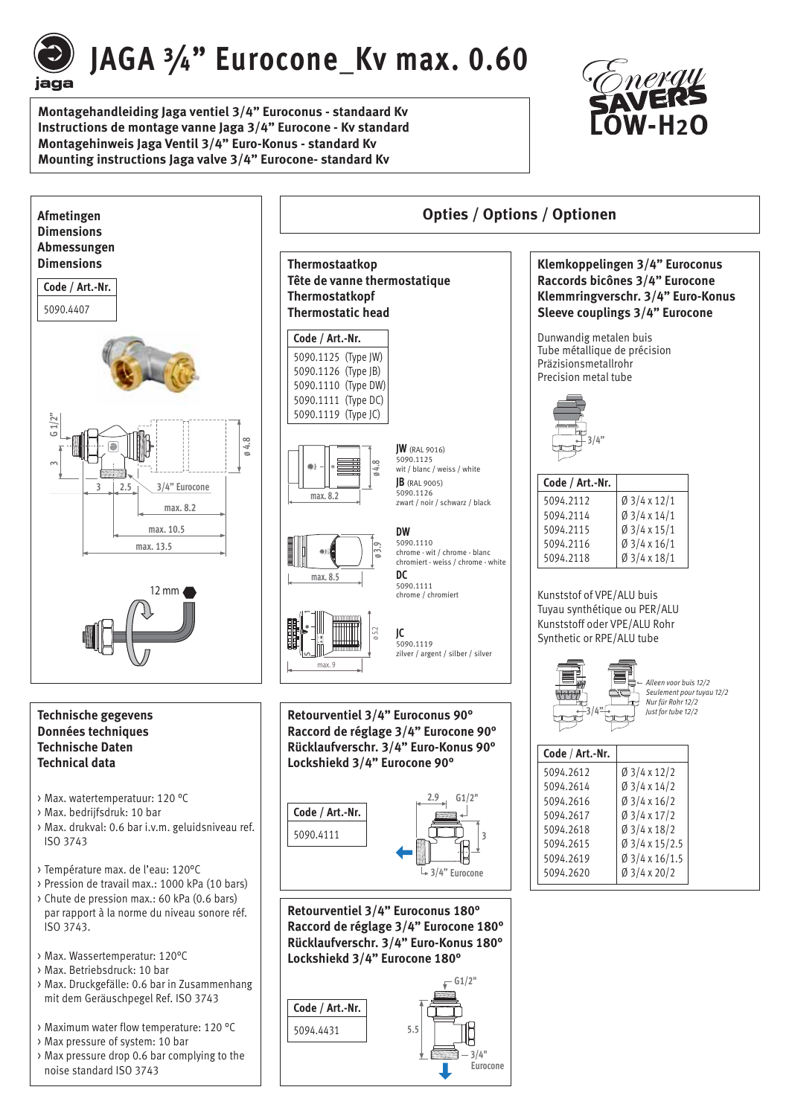

# JAGA 3/4" Eurocone Kv max. 0.60

**Montagehandleiding Jaga ventiel 3/4" Euroconus - standaard Kv Instructions de montage vanne Jaga 3/4" Eurocone - Kv standard Montagehinweis Jaga Ventil 3/4" Euro-Konus - standard Kv Mounting instructions Jaga valve 3/4" Eurocone- standard Kv**